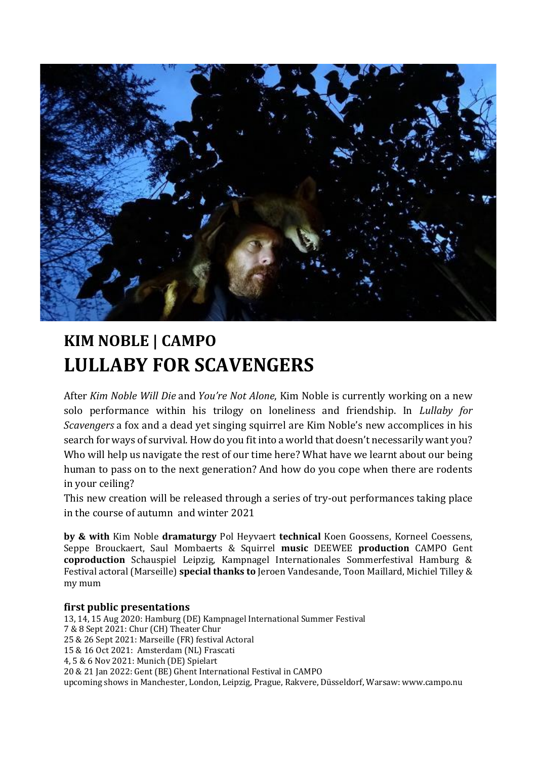

## **KIM NOBLE | CAMPO LULLABY FOR SCAVENGERS**

After *Kim Noble Will Die* and *You're Not Alone*, Kim Noble is currently working on a new solo performance within his trilogy on loneliness and friendship. In *Lullaby for Scavengers* a fox and a dead yet singing squirrel are Kim Noble's new accomplices in his search for ways of survival. How do you fit into a world that doesn't necessarily want you? Who will help us navigate the rest of our time here? What have we learnt about our being human to pass on to the next generation? And how do you cope when there are rodents in your ceiling?

This new creation will be released through a series of try-out performances taking place in the course of autumn and winter 2021

**by & with** Kim Noble **dramaturgy** Pol Heyvaert **technical** Koen Goossens, Korneel Coessens, Seppe Brouckaert, Saul Mombaerts & Squirrel **music** DEEWEE **production** CAMPO Gent **coproduction** Schauspiel Leipzig, Kampnagel Internationales Sommerfestival Hamburg & Festival actoral (Marseille) **special thanks to** Jeroen Vandesande, Toon Maillard, Michiel Tilley & my mum

## **first public presentations**

13, 14, 15 Aug 2020: Hamburg (DE) Kampnagel International Summer Festival 7 & 8 Sept 2021: Chur (CH) Theater Chur 25 & 26 Sept 2021: Marseille (FR) festival Actoral 15 & 16 Oct 2021: Amsterdam (NL) Frascati 4, 5 & 6 Nov 2021: Munich (DE) Spielart 20 & 21 Jan 2022: Gent (BE) Ghent International Festival in CAMPO upcoming shows in Manchester, London, Leipzig, Prague, Rakvere, Düsseldorf, Warsaw: www.campo.nu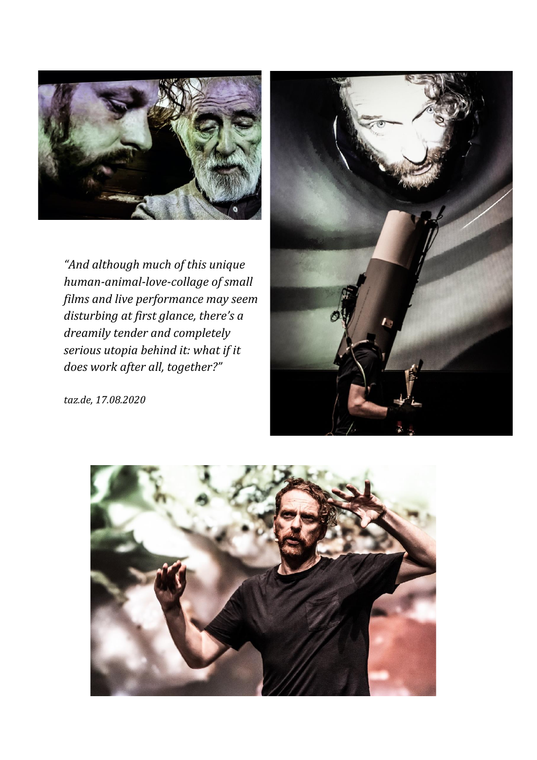

*"And although much of this unique human-animal-love-collage of small films and live performance may seem disturbing at first glance, there's a dreamily tender and completely serious utopia behind it: what if it does work after all, together?"* 



*taz.de, 17.08.2020*

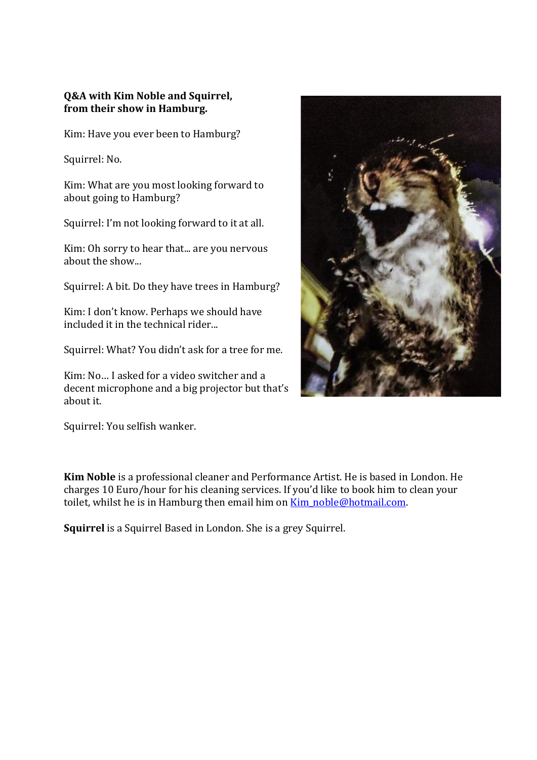## **Q&A with Kim Noble and Squirrel, from their show in Hamburg.**

Kim: Have you ever been to Hamburg?

Squirrel: No.

Kim: What are you most looking forward to about going to Hamburg?

Squirrel: I'm not looking forward to it at all.

Kim: Oh sorry to hear that... are you nervous about the show...

Squirrel: A bit. Do they have trees in Hamburg?

Kim: I don't know. Perhaps we should have included it in the technical rider...

Squirrel: What? You didn't ask for a tree for me.

Kim: No… I asked for a video switcher and a decent microphone and a big projector but that's about it.

Squirrel: You selfish wanker.

**Kim Noble** is a professional cleaner and Performance Artist. He is based in London. He charges 10 Euro/hour for his cleaning services. If you'd like to book him to clean your toilet, whilst he is in Hamburg then email him on **Kim\_noble@hotmail.com.** 

**Squirrel** is a Squirrel Based in London. She is a grey Squirrel.